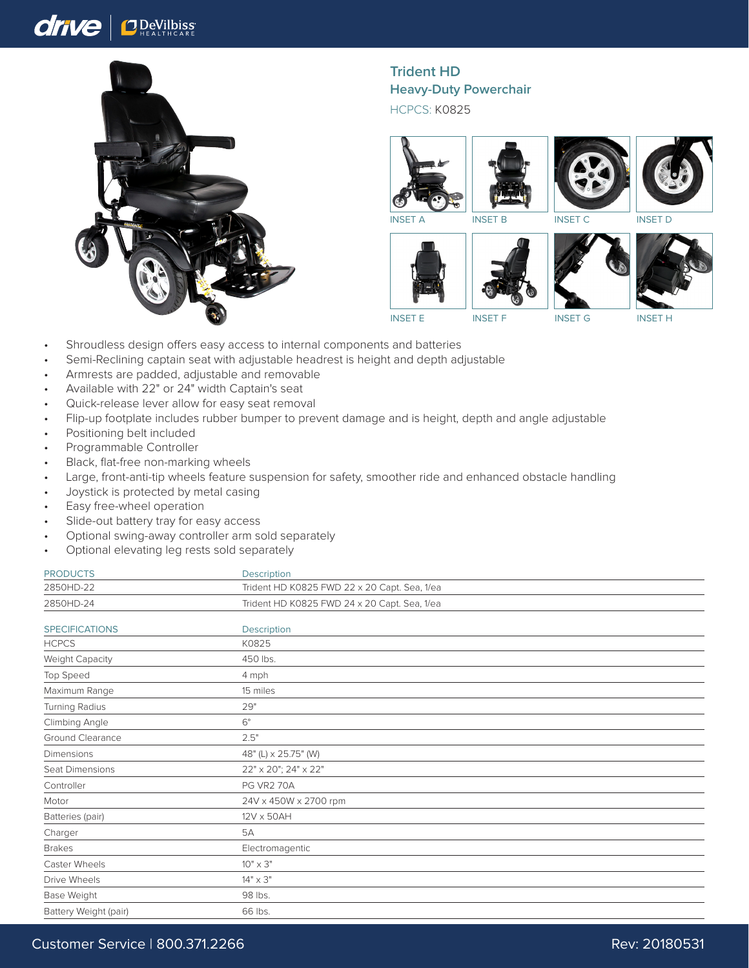## drive **O** DeVilbiss



## **Trident HD Heavy-Duty Powerchair**

HCPCS: K0825









INSET E INSET F INSET G INSET H

- Shroudless design offers easy access to internal components and batteries
- Semi-Reclining captain seat with adjustable headrest is height and depth adjustable
- Armrests are padded, adjustable and removable
- Available with 22" or 24" width Captain's seat
- Quick-release lever allow for easy seat removal
- Flip-up footplate includes rubber bumper to prevent damage and is height, depth and angle adjustable
- Positioning belt included
- Programmable Controller
- Black, flat-free non-marking wheels
- Large, front-anti-tip wheels feature suspension for safety, smoother ride and enhanced obstacle handling
- Joystick is protected by metal casing
- Easy free-wheel operation
- Slide-out battery tray for easy access
- Optional swing-away controller arm sold separately
- Optional elevating leg rests sold separately

| <b>PRODUCTS</b><br>Description |                                              |
|--------------------------------|----------------------------------------------|
| 2850HD-22                      | Trident HD K0825 FWD 22 x 20 Capt. Sea, 1/ea |
| 2850HD-24                      | Trident HD K0825 FWD 24 x 20 Capt. Sea, 1/ea |

| <b>SPECIFICATIONS</b>  | Description           |  |
|------------------------|-----------------------|--|
| <b>HCPCS</b>           | K0825                 |  |
| <b>Weight Capacity</b> | 450 lbs.              |  |
| Top Speed              | 4 mph                 |  |
| Maximum Range          | 15 miles              |  |
| Turning Radius         | 29"                   |  |
| Climbing Angle         | $6^{\circ}$           |  |
| Ground Clearance       | 2.5"                  |  |
| Dimensions             | 48" (L) x 25.75" (W)  |  |
| Seat Dimensions        | 22" x 20"; 24" x 22"  |  |
| Controller             | <b>PG VR2 70A</b>     |  |
| Motor                  | 24V x 450W x 2700 rpm |  |
| Batteries (pair)       | 12V x 50AH            |  |
| Charger                | 5A                    |  |
| <b>Brakes</b>          | Electromagentic       |  |
| Caster Wheels          | $10" \times 3"$       |  |
| Drive Wheels           | $14" \times 3"$       |  |
| Base Weight            | 98 lbs.               |  |
| Battery Weight (pair)  | 66 lbs.               |  |